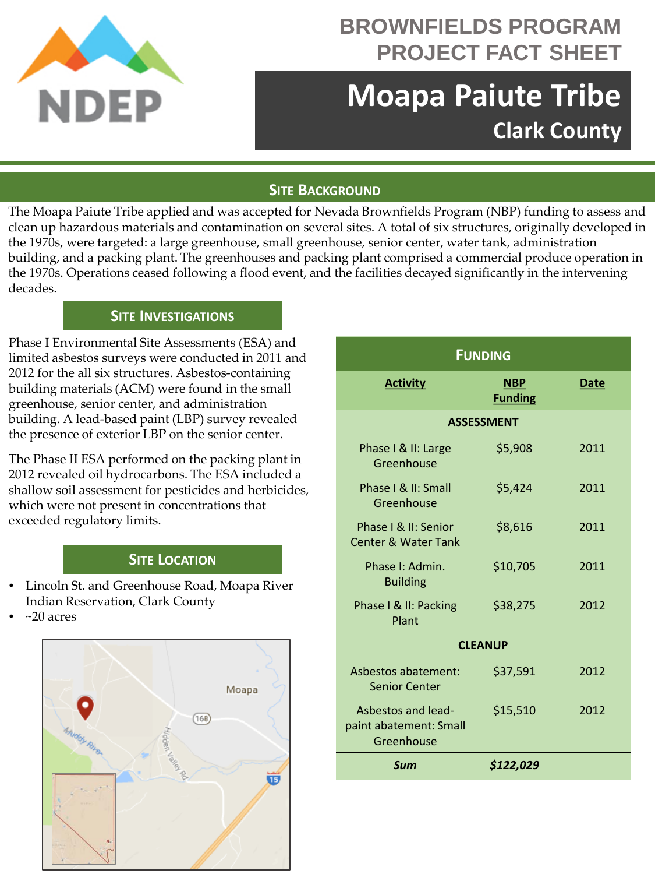

## **BROWNFIELDS PROGRAM PROJECT FACT SHEET**

# **Moapa Paiute Tribe Clark County**

### **SITE BACKGROUND**

The Moapa Paiute Tribe applied and was accepted for Nevada Brownfields Program (NBP) funding to assess and clean up hazardous materials and contamination on several sites. A total of six structures, originally developed in the 1970s, were targeted: a large greenhouse, small greenhouse, senior center, water tank, administration building, and a packing plant. The greenhouses and packing plant comprised a commercial produce operation in the 1970s. Operations ceased following a flood event, and the facilities decayed significantly in the intervening decades.

#### **SITE INVESTIGATIONS**

Phase I Environmental Site Assessments (ESA) and limited asbestos surveys were conducted in 2011 and 2012 for the all six structures. Asbestos-containing building materials (ACM) were found in the small greenhouse, senior center, and administration building. A lead-based paint (LBP) survey revealed the presence of exterior LBP on the senior center.

The Phase II ESA performed on the packing plant in 2012 revealed oil hydrocarbons. The ESA included a shallow soil assessment for pesticides and herbicides, which were not present in concentrations that exceeded regulatory limits.

### **SITE LOCATION**

- Lincoln St. and Greenhouse Road, Moapa River Indian Reservation, Clark County
- $~20$  acres



| <b>FUNDING</b>                                             |                              |      |
|------------------------------------------------------------|------------------------------|------|
| <b>Activity</b>                                            | <b>NBP</b><br><b>Funding</b> | Date |
| <b>ASSESSMENT</b>                                          |                              |      |
| Phase I & II: Large<br>Greenhouse                          | \$5,908                      | 2011 |
| Phase I & II: Small<br>Greenhouse                          | \$5,424                      | 2011 |
| Phase   & II: Senior<br><b>Center &amp; Water Tank</b>     | \$8,616                      | 2011 |
| Phase I: Admin.<br><b>Building</b>                         | \$10,705                     | 2011 |
| Phase I & II: Packing<br>Plant                             | \$38,275                     | 2012 |
| <b>CLEANUP</b>                                             |                              |      |
| Asbestos abatement:<br><b>Senior Center</b>                | \$37,591                     | 2012 |
| Asbestos and lead-<br>paint abatement: Small<br>Greenhouse | \$15,510                     | 2012 |
| Sum                                                        | \$122,029                    |      |